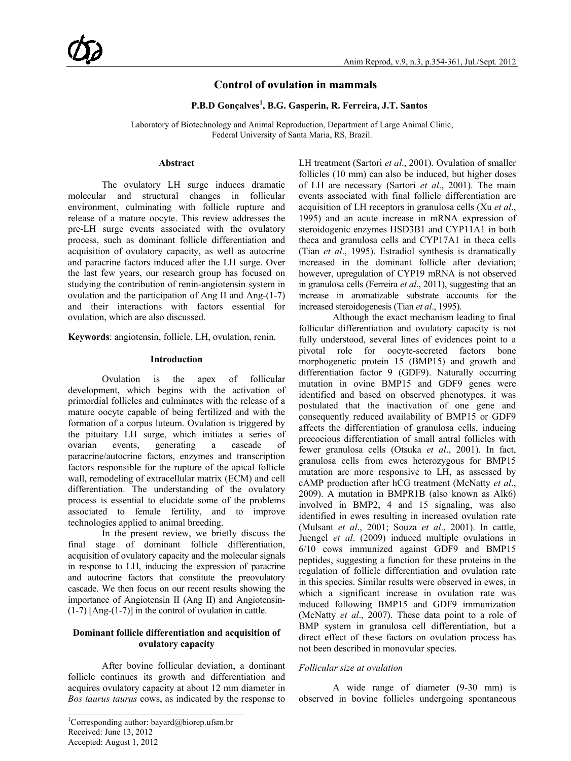## **Control of ovulation in mammals**

## **P.B.D Gonçalves<sup>1</sup> , B.G. Gasperin, R. Ferreira, J.T. Santos**

Laboratory of Biotechnology and Animal Reproduction, Department of Large Animal Clinic, Federal University of Santa Maria, RS, Brazil.

### **Abstract**

The ovulatory LH surge induces dramatic molecular and structural changes in follicular environment, culminating with follicle rupture and release of a mature oocyte. This review addresses the pre-LH surge events associated with the ovulatory process, such as dominant follicle differentiation and acquisition of ovulatory capacity, as well as autocrine and paracrine factors induced after the LH surge. Over the last few years, our research group has focused on studying the contribution of renin-angiotensin system in ovulation and the participation of Ang II and Ang-(1-7) and their interactions with factors essential for ovulation, which are also discussed.

**Keywords**: angiotensin, follicle, LH, ovulation, renin.

## **Introduction**

Ovulation is the apex of follicular development, which begins with the activation of primordial follicles and culminates with the release of a mature oocyte capable of being fertilized and with the formation of a corpus luteum. Ovulation is triggered by the pituitary LH surge, which initiates a series of ovarian events, generating a cascade of paracrine/autocrine factors, enzymes and transcription factors responsible for the rupture of the apical follicle wall, remodeling of extracellular matrix (ECM) and cell differentiation. The understanding of the ovulatory process is essential to elucidate some of the problems associated to female fertility, and to improve technologies applied to animal breeding.

In the present review, we briefly discuss the final stage of dominant follicle differentiation, acquisition of ovulatory capacity and the molecular signals in response to LH, inducing the expression of paracrine and autocrine factors that constitute the preovulatory cascade. We then focus on our recent results showing the importance of Angiotensin II (Ang II) and Angiotensin-  $(1-7)$  [Ang- $(1-7)$ ] in the control of ovulation in cattle.

## **Dominant follicle differentiation and acquisition of ovulatory capacity**

After bovine follicular deviation, a dominant follicle continues its growth and differentiation and acquires ovulatory capacity at about 12 mm diameter in *Bos taurus taurus* cows, as indicated by the response to

\_\_\_\_\_\_\_\_\_\_\_\_\_\_\_\_\_\_\_\_\_\_\_\_\_\_\_\_\_\_\_\_\_\_\_\_\_\_\_\_\_

LH treatment (Sartori *et al*., 2001). Ovulation of smaller follicles (10 mm) can also be induced, but higher doses of LH are necessary (Sartori *et al*., 2001). The main events associated with final follicle differentiation are acquisition of LH receptors in granulosa cells (Xu *et al*., 1995) and an acute increase in mRNA expression of steroidogenic enzymes HSD3B1 and CYP11A1 in both theca and granulosa cells and CYP17A1 in theca cells (Tian *et al*., 1995). Estradiol synthesis is dramatically increased in the dominant follicle after deviation; however, upregulation of CYP19 mRNA is not observed in granulosa cells (Ferreira *et al*., 2011), suggesting that an increase in aromatizable substrate accounts for the increased steroidogenesis (Tian *et al*., 1995).

Although the exact mechanism leading to final follicular differentiation and ovulatory capacity is not fully understood, several lines of evidences point to a pivotal role for oocyte-secreted factors bone morphogenetic protein 15 (BMP15) and growth and differentiation factor 9 (GDF9). Naturally occurring mutation in ovine BMP15 and GDF9 genes were identified and based on observed phenotypes, it was postulated that the inactivation of one gene and consequently reduced availability of BMP15 or GDF9 affects the differentiation of granulosa cells, inducing precocious differentiation of small antral follicles with fewer granulosa cells (Otsuka *et al*., 2001). In fact, granulosa cells from ewes heterozygous for BMP15 mutation are more responsive to LH, as assessed by cAMP production after hCG treatment (McNatty *et al*., 2009). A mutation in BMPR1B (also known as Alk6) involved in BMP2, 4 and 15 signaling, was also identified in ewes resulting in increased ovulation rate (Mulsant *et al*., 2001; Souza *et al*., 2001). In cattle, Juengel *et al*. (2009) induced multiple ovulations in 6/10 cows immunized against GDF9 and BMP15 peptides, suggesting a function for these proteins in the regulation of follicle differentiation and ovulation rate in this species. Similar results were observed in ewes, in which a significant increase in ovulation rate was induced following BMP15 and GDF9 immunization (McNatty *et al*., 2007). These data point to a role of BMP system in granulosa cell differentiation, but a direct effect of these factors on ovulation process has not been described in monovular species.

## *Follicular size at ovulation*

A wide range of diameter (9-30 mm) is observed in bovine follicles undergoing spontaneous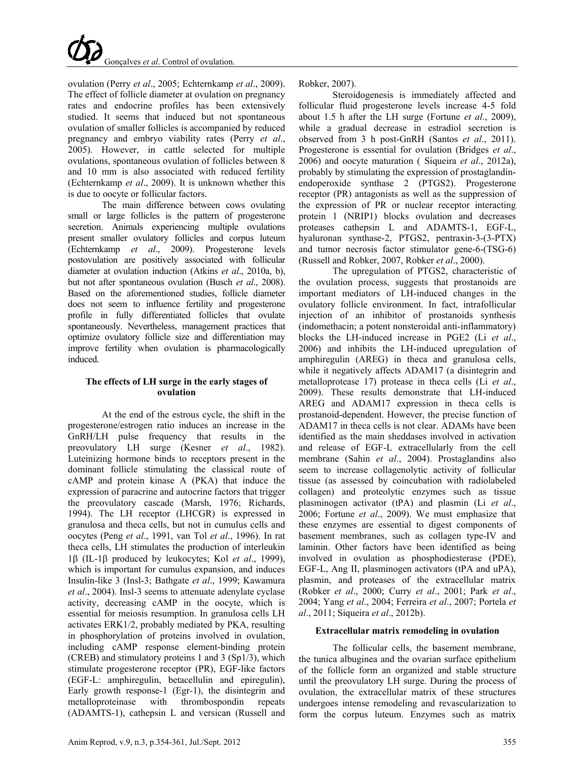ovulation (Perry *et al*., 2005; Echternkamp *et al*., 2009). The effect of follicle diameter at ovulation on pregnancy rates and endocrine profiles has been extensively studied. It seems that induced but not spontaneous ovulation of smaller follicles is accompanied by reduced pregnancy and embryo viability rates (Perry *et al*., 2005). However, in cattle selected for multiple ovulations, spontaneous ovulation of follicles between 8 and 10 mm is also associated with reduced fertility (Echternkamp *et al*., 2009). It is unknown whether this is due to oocyte or follicular factors.

The main difference between cows ovulating small or large follicles is the pattern of progesterone secretion. Animals experiencing multiple ovulations present smaller ovulatory follicles and corpus luteum (Echternkamp *et al*., 2009). Progesterone levels postovulation are positively associated with follicular diameter at ovulation induction (Atkins *et al*., 2010a, b), but not after spontaneous ovulation (Busch *et al*., 2008). Based on the aforementioned studies, follicle diameter does not seem to influence fertility and progesterone profile in fully differentiated follicles that ovulate spontaneously. Nevertheless, management practices that optimize ovulatory follicle size and differentiation may improve fertility when ovulation is pharmacologically induced.

## **The effects of LH surge in the early stages of ovulation**

At the end of the estrous cycle, the shift in the progesterone/estrogen ratio induces an increase in the GnRH/LH pulse frequency that results in the preovulatory LH surge (Kesner *et al*., 1982). Luteinizing hormone binds to receptors present in the dominant follicle stimulating the classical route of cAMP and protein kinase A (PKA) that induce the expression of paracrine and autocrine factors that trigger the preovulatory cascade (Marsh, 1976; Richards, 1994). The LH receptor (LHCGR) is expressed in granulosa and theca cells, but not in cumulus cells and oocytes (Peng *et al*., 1991, van Tol *et al*., 1996). In rat theca cells, LH stimulates the production of interleukin 1β (IL-1β produced by leukocytes; Kol *et al*., 1999), which is important for cumulus expansion, and induces Insulin-like 3 (Insl-3; Bathgate *et al*., 1999; Kawamura *et al*., 2004). Insl-3 seems to attenuate adenylate cyclase activity, decreasing cAMP in the oocyte, which is essential for meiosis resumption. In granulosa cells LH activates ERK1/2, probably mediated by PKA, resulting in phosphorylation of proteins involved in ovulation, including cAMP response element-binding protein (CREB) and stimulatory proteins 1 and 3 (Sp1/3), which stimulate progesterone receptor (PR), EGF-like factors (EGF-L: amphiregulin, betacellulin and epiregulin), Early growth response-1 (Egr-1), the disintegrin and metalloproteinase with thrombospondin repeats (ADAMTS-1), cathepsin L and versican (Russell and

Robker, 2007).

Steroidogenesis is immediately affected and follicular fluid progesterone levels increase 4-5 fold about 1.5 h after the LH surge (Fortune *et al*., 2009), while a gradual decrease in estradiol secretion is observed from 3 h post-GnRH (Santos *et al*., 2011). Progesterone is essential for ovulation (Bridges *et al*., 2006) and oocyte maturation ( Siqueira *et al*., 2012a), probably by stimulating the expression of prostaglandinendoperoxide synthase 2 (PTGS2). Progesterone receptor (PR) antagonists as well as the suppression of the expression of PR or nuclear receptor interacting protein 1 (NRIP1) blocks ovulation and decreases proteases cathepsin L and ADAMTS-1, EGF-L, hyaluronan synthase-2, PTGS2, pentraxin-3-(3-PTX) and tumor necrosis factor stimulator gene-6-(TSG-6) (Russell and Robker, 2007, Robker *et al*., 2000).

The upregulation of PTGS2, characteristic of the ovulation process, suggests that prostanoids are important mediators of LH-induced changes in the ovulatory follicle environment. In fact, intrafollicular injection of an inhibitor of prostanoids synthesis (indomethacin; a potent nonsteroidal anti-inflammatory) blocks the LH-induced increase in PGE2 (Li *et al*., 2006) and inhibits the LH-induced upregulation of amphiregulin (AREG) in theca and granulosa cells, while it negatively affects ADAM17 (a disintegrin and metalloprotease 17) protease in theca cells (Li *et al*., 2009). These results demonstrate that LH-induced AREG and ADAM17 expression in theca cells is prostanoid-dependent. However, the precise function of ADAM17 in theca cells is not clear. ADAMs have been identified as the main sheddases involved in activation and release of EGF-L extracellularly from the cell membrane (Sahin *et al*., 2004). Prostaglandins also seem to increase collagenolytic activity of follicular tissue (as assessed by coincubation with radiolabeled collagen) and proteolytic enzymes such as tissue plasminogen activator (tPA) and plasmin (Li *et al*., 2006; Fortune *et al*., 2009). We must emphasize that these enzymes are essential to digest components of basement membranes, such as collagen type-IV and laminin. Other factors have been identified as being involved in ovulation as phosphodiesterase (PDE), EGF-L, Ang II, plasminogen activators (tPA and uPA), plasmin, and proteases of the extracellular matrix (Robker *et al*., 2000; Curry *et al*., 2001; Park *et al*., 2004; Yang *et al*., 2004; Ferreira *et al*., 2007; Portela *et al*., 2011; Siqueira *et al*., 2012b).

## **Extracellular matrix remodeling in ovulation**

The follicular cells, the basement membrane, the tunica albuginea and the ovarian surface epithelium of the follicle form an organized and stable structure until the preovulatory LH surge. During the process of ovulation, the extracellular matrix of these structures undergoes intense remodeling and revascularization to form the corpus luteum. Enzymes such as matrix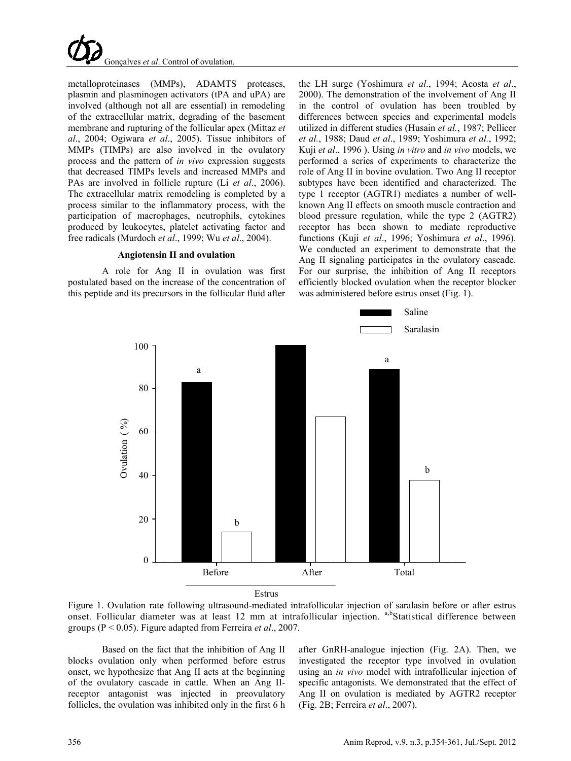

metalloproteinases (MMPs), ADAMTS proteases, plasmin and plasminogen activators (tPA and uPA) are involved (although not all are essential) in remodeling of the extracellular matrix, degrading of the basement membrane and rupturing of the follicular apex (Mittaz *et al*., 2004; Ogiwara *et al*., 2005). Tissue inhibitors of MMPs (TIMPs) are also involved in the ovulatory process and the pattern of *in vivo* expression suggests that decreased TIMPs levels and increased MMPs and PAs are involved in follicle rupture (Li *et al*., 2006). The extracellular matrix remodeling is completed by a process similar to the inflammatory process, with the participation of macrophages, neutrophils, cytokines produced by leukocytes, platelet activating factor and free radicals (Murdoch *et al*., 1999; Wu *et al*., 2004).

#### **Angiotensin II and ovulation**

A role for Ang II in ovulation was first postulated based on the increase of the concentration of this peptide and its precursors in the follicular fluid after

the LH surge (Yoshimura *et al*., 1994; Acosta *et al*., 2000). The demonstration of the involvement of Ang II in the control of ovulation has been troubled by differences between species and experimental models utilized in different studies (Husain *et al.*, 1987; Pellicer *et al.*, 1988; Daud *et al*., 1989; Yoshimura *et al.*, 1992; Kuji *et al*., 1996 ). Using *in vitro* and *in vivo* models, we performed a series of experiments to characterize the role of Ang II in bovine ovulation. Two Ang II receptor subtypes have been identified and characterized. The type 1 receptor (AGTR1) mediates a number of wellknown Ang II effects on smooth muscle contraction and blood pressure regulation, while the type 2 (AGTR2) receptor has been shown to mediate reproductive functions (Kuji *et al*., 1996; Yoshimura *et al*., 1996). We conducted an experiment to demonstrate that the Ang II signaling participates in the ovulatory cascade. For our surprise, the inhibition of Ang II receptors efficiently blocked ovulation when the receptor blocker was administered before estrus onset (Fig. 1).



Figure 1. Ovulation rate following ultrasound-mediated intrafollicular injection of saralasin before or after estrus onset. Follicular diameter was at least 12 mm at intrafollicular injection. a,bStatistical difference between groups (P < 0.05). Figure adapted from Ferreira *et al*., 2007.

Based on the fact that the inhibition of Ang II blocks ovulation only when performed before estrus onset, we hypothesize that Ang II acts at the beginning of the ovulatory cascade in cattle. When an Ang IIreceptor antagonist was injected in preovulatory follicles, the ovulation was inhibited only in the first 6 h after GnRH-analogue injection (Fig. 2A). Then, we investigated the receptor type involved in ovulation using an *in vivo* model with intrafollicular injection of specific antagonists. We demonstrated that the effect of Ang II on ovulation is mediated by AGTR2 receptor (Fig. 2B; Ferreira *et al*., 2007).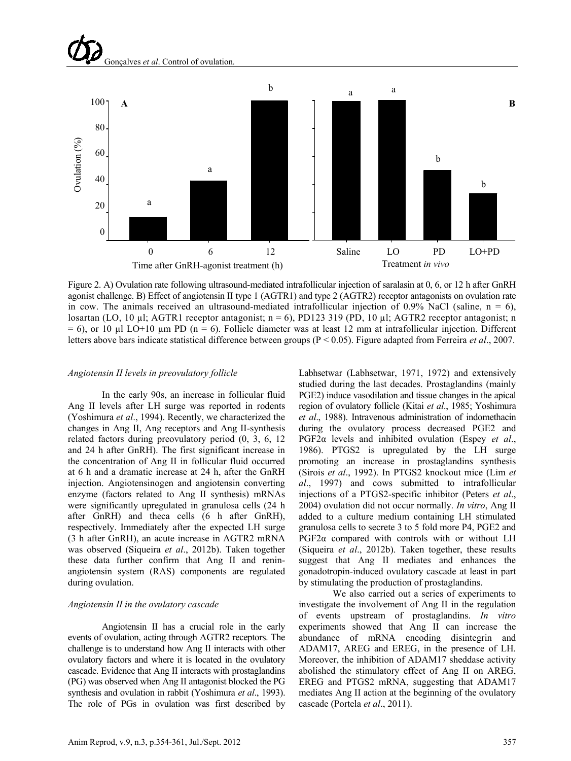# Gonçalves *et al*. Control of ovulation.



Figure 2. A) Ovulation rate following ultrasound-mediated intrafollicular injection of saralasin at 0, 6, or 12 h after GnRH agonist challenge. B) Effect of angiotensin II type 1 (AGTR1) and type 2 (AGTR2) receptor antagonists on ovulation rate in cow. The animals received an ultrasound-mediated intrafollicular injection of 0.9% NaCl (saline,  $n = 6$ ), losartan (LO, 10 µl; AGTR1 receptor antagonist; n = 6), PD123 319 (PD, 10 µl; AGTR2 receptor antagonist; n  $= 6$ ), or 10 µl LO+10 µm PD (n = 6). Follicle diameter was at least 12 mm at intrafollicular injection. Different letters above bars indicate statistical difference between groups (P < 0.05). Figure adapted from Ferreira *et al*., 2007.

#### *Angiotensin II levels in preovulatory follicle*

In the early 90s, an increase in follicular fluid Ang II levels after LH surge was reported in rodents (Yoshimura *et al*., 1994). Recently, we characterized the changes in Ang II, Ang receptors and Ang II-synthesis related factors during preovulatory period (0, 3, 6, 12 and 24 h after GnRH). The first significant increase in the concentration of Ang II in follicular fluid occurred at 6 h and a dramatic increase at 24 h, after the GnRH injection. Angiotensinogen and angiotensin converting enzyme (factors related to Ang II synthesis) mRNAs were significantly upregulated in granulosa cells (24 h after GnRH) and theca cells (6 h after GnRH), respectively. Immediately after the expected LH surge (3 h after GnRH), an acute increase in AGTR2 mRNA was observed (Siqueira *et al*., 2012b). Taken together these data further confirm that Ang II and reninangiotensin system (RAS) components are regulated during ovulation.

#### *Angiotensin II in the ovulatory cascade*

Angiotensin II has a crucial role in the early events of ovulation, acting through AGTR2 receptors. The challenge is to understand how Ang II interacts with other ovulatory factors and where it is located in the ovulatory cascade. Evidence that Ang II interacts with prostaglandins (PG) was observed when Ang II antagonist blocked the PG synthesis and ovulation in rabbit (Yoshimura *et al*., 1993). The role of PGs in ovulation was first described by

Labhsetwar (Labhsetwar, 1971, 1972) and extensively studied during the last decades. Prostaglandins (mainly PGE2) induce vasodilation and tissue changes in the apical region of ovulatory follicle (Kitai *et al*., 1985; Yoshimura *et al*., 1988). Intravenous administration of indomethacin during the ovulatory process decreased PGE2 and PGF2α levels and inhibited ovulation (Espey *et al*., 1986). PTGS2 is upregulated by the LH surge promoting an increase in prostaglandins synthesis (Sirois *et al*., 1992). In PTGS2 knockout mice (Lim *et al*., 1997) and cows submitted to intrafollicular injections of a PTGS2-specific inhibitor (Peters *et al*., 2004) ovulation did not occur normally. *In vitro*, Ang II added to a culture medium containing LH stimulated granulosa cells to secrete 3 to 5 fold more P4, PGE2 and PGF2α compared with controls with or without LH (Siqueira *et al*., 2012b). Taken together, these results suggest that Ang II mediates and enhances the gonadotropin-induced ovulatory cascade at least in part by stimulating the production of prostaglandins.

We also carried out a series of experiments to investigate the involvement of Ang II in the regulation of events upstream of prostaglandins. *In vitro* experiments showed that Ang II can increase the abundance of mRNA encoding disintegrin and ADAM17, AREG and EREG, in the presence of LH. Moreover, the inhibition of ADAM17 sheddase activity abolished the stimulatory effect of Ang II on AREG, EREG and PTGS2 mRNA, suggesting that ADAM17 mediates Ang II action at the beginning of the ovulatory cascade (Portela *et al*., 2011).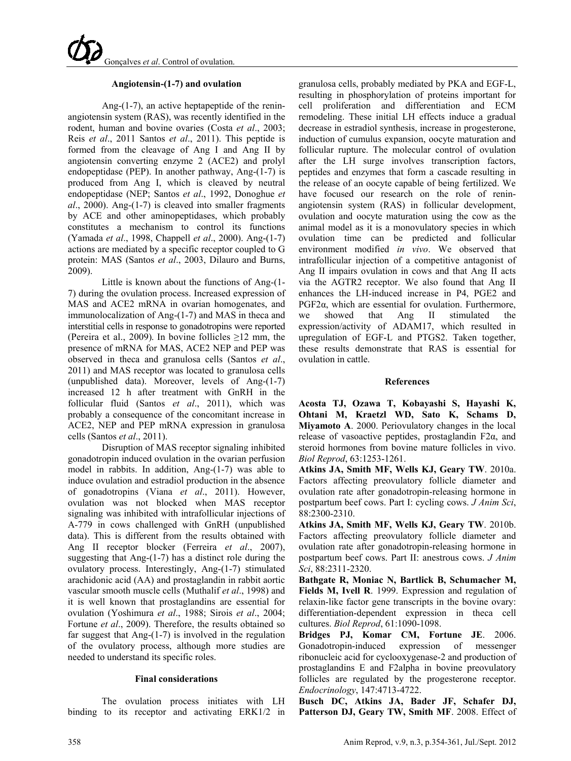### **Angiotensin-(1-7) and ovulation**

Ang-(1-7), an active heptapeptide of the reninangiotensin system (RAS), was recently identified in the rodent, human and bovine ovaries (Costa *et al*., 2003; Reis *et al*., 2011 Santos *et al*., 2011). This peptide is formed from the cleavage of Ang I and Ang II by angiotensin converting enzyme 2 (ACE2) and prolyl endopeptidase (PEP). In another pathway, Ang-(1-7) is produced from Ang I, which is cleaved by neutral endopeptidase (NEP; Santos *et al*., 1992, Donoghue *et al*., 2000). Ang-(1-7) is cleaved into smaller fragments by ACE and other aminopeptidases, which probably constitutes a mechanism to control its functions (Yamada *et al*., 1998, Chappell *et al*., 2000). Ang-(1-7) actions are mediated by a specific receptor coupled to G protein: MAS (Santos *et al*., 2003, Dilauro and Burns, 2009).

Little is known about the functions of Ang-(1- 7) during the ovulation process. Increased expression of MAS and ACE2 mRNA in ovarian homogenates, and immunolocalization of Ang-(1-7) and MAS in theca and interstitial cells in response to gonadotropins were reported (Pereira et al., 2009). In bovine follicles ≥12 mm, the presence of mRNA for MAS, ACE2 NEP and PEP was observed in theca and granulosa cells (Santos *et al*., 2011) and MAS receptor was located to granulosa cells (unpublished data). Moreover, levels of Ang-(1-7) increased 12 h after treatment with GnRH in the follicular fluid (Santos *et al*., 2011), which was probably a consequence of the concomitant increase in ACE2, NEP and PEP mRNA expression in granulosa cells (Santos *et al*., 2011).

Disruption of MAS receptor signaling inhibited gonadotropin induced ovulation in the ovarian perfusion model in rabbits. In addition, Ang-(1-7) was able to induce ovulation and estradiol production in the absence of gonadotropins (Viana *et al*., 2011). However, ovulation was not blocked when MAS receptor signaling was inhibited with intrafollicular injections of A-779 in cows challenged with GnRH (unpublished data). This is different from the results obtained with Ang II receptor blocker (Ferreira *et al*., 2007), suggesting that Ang-(1-7) has a distinct role during the ovulatory process. Interestingly, Ang-(1-7) stimulated arachidonic acid (AA) and prostaglandin in rabbit aortic vascular smooth muscle cells (Muthalif *et al*., 1998) and it is well known that prostaglandins are essential for ovulation (Yoshimura *et al*., 1988; Sirois *et al*., 2004; Fortune *et al*., 2009). Therefore, the results obtained so far suggest that Ang-(1-7) is involved in the regulation of the ovulatory process, although more studies are needed to understand its specific roles.

#### **Final considerations**

The ovulation process initiates with LH binding to its receptor and activating ERK1/2 in granulosa cells, probably mediated by PKA and EGF-L, resulting in phosphorylation of proteins important for cell proliferation and differentiation and ECM remodeling. These initial LH effects induce a gradual decrease in estradiol synthesis, increase in progesterone, induction of cumulus expansion, oocyte maturation and follicular rupture. The molecular control of ovulation after the LH surge involves transcription factors, peptides and enzymes that form a cascade resulting in the release of an oocyte capable of being fertilized. We have focused our research on the role of reninangiotensin system (RAS) in follicular development, ovulation and oocyte maturation using the cow as the animal model as it is a monovulatory species in which ovulation time can be predicted and follicular environment modified *in vivo*. We observed that intrafollicular injection of a competitive antagonist of Ang II impairs ovulation in cows and that Ang II acts via the AGTR2 receptor. We also found that Ang II enhances the LH-induced increase in P4, PGE2 and  $PGF2\alpha$ , which are essential for ovulation. Furthermore, we showed that Ang II stimulated the expression/activity of ADAM17, which resulted in upregulation of EGF-L and PTGS2. Taken together, these results demonstrate that RAS is essential for ovulation in cattle.

#### **References**

**Acosta TJ, Ozawa T, Kobayashi S, Hayashi K, Ohtani M, Kraetzl WD, Sato K, Schams D, Miyamoto A**. 2000. Periovulatory changes in the local release of vasoactive peptides, prostaglandin F2α, and steroid hormones from bovine mature follicles in vivo. *Biol Reprod*, 63:1253-1261.

**Atkins JA, Smith MF, Wells KJ, Geary TW**. 2010a. Factors affecting preovulatory follicle diameter and ovulation rate after gonadotropin-releasing hormone in postpartum beef cows. Part I: cycling cows. *J Anim Sci*, 88:2300-2310.

**Atkins JA, Smith MF, Wells KJ, Geary TW**. 2010b. Factors affecting preovulatory follicle diameter and ovulation rate after gonadotropin-releasing hormone in postpartum beef cows. Part II: anestrous cows. *J Anim Sci*, 88:2311-2320.

**Bathgate R, Moniac N, Bartlick B, Schumacher M, Fields M, Ivell R**. 1999. Expression and regulation of relaxin-like factor gene transcripts in the bovine ovary: differentiation-dependent expression in theca cell cultures. *Biol Reprod*, 61:1090-1098.

**Bridges PJ, Komar CM, Fortune JE**. 2006. Gonadotropin-induced expression of messenger ribonucleic acid for cyclooxygenase-2 and production of prostaglandins E and F2alpha in bovine preovulatory follicles are regulated by the progesterone receptor. *Endocrinology*, 147:4713-4722.

**Busch DC, Atkins JA, Bader JF, Schafer DJ, Patterson DJ, Geary TW, Smith MF**. 2008. Effect of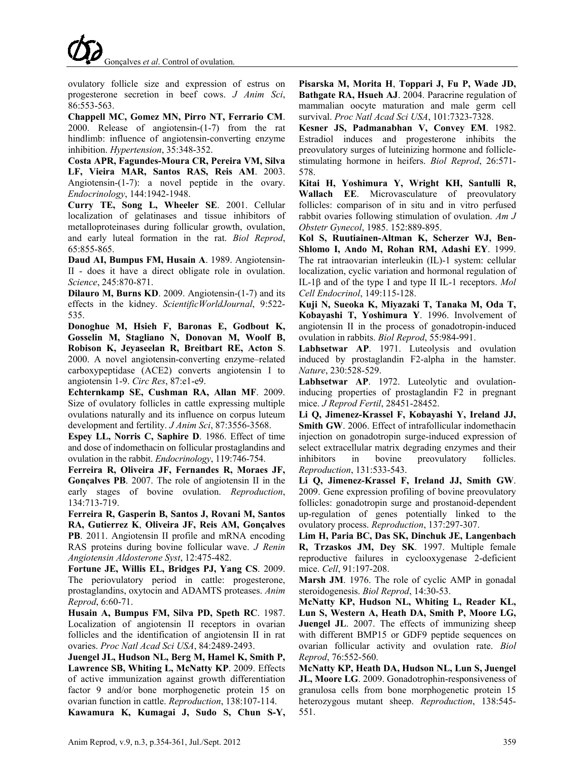ovulatory follicle size and expression of estrus on progesterone secretion in beef cows. *J Anim Sci*, 86:553-563.

**Chappell MC, Gomez MN, Pirro NT, Ferrario CM**. 2000. Release of angiotensin-(1-7) from the rat hindlimb: influence of angiotensin-converting enzyme inhibition. *Hypertension*, 35:348-352.

**Costa APR, Fagundes-Moura CR, Pereira VM, Silva LF, Vieira MAR, Santos RAS, Reis AM**. 2003. Angiotensin-(1-7): a novel peptide in the ovary. *Endocrinology*, 144:1942-1948.

**Curry TE, Song L, Wheeler SE**. 2001. Cellular localization of gelatinases and tissue inhibitors of metalloproteinases during follicular growth, ovulation, and early luteal formation in the rat. *Biol Reprod*, 65:855-865.

**Daud AI, Bumpus FM, Husain A**. 1989. Angiotensin-II - does it have a direct obligate role in ovulation. *Science*, 245:870-871.

**Dilauro M, Burns KD**. 2009. Angiotensin-(1-7) and its effects in the kidney. *ScientificWorldJournal*, 9:522- 535.

**Donoghue M, Hsieh F, Baronas E, Godbout K, Gosselin M, Stagliano N, Donovan M, Woolf B, Robison K, Jeyaseelan R, Breitbart RE, Acton S**. 2000. A novel angiotensin-converting enzyme–related carboxypeptidase (ACE2) converts angiotensin I to angiotensin 1-9. *Circ Res*, 87:e1-e9.

**Echternkamp SE, Cushman RA, Allan MF**. 2009. Size of ovulatory follicles in cattle expressing multiple ovulations naturally and its influence on corpus luteum development and fertility. *J Anim Sci*, 87:3556-3568.

**Espey LL, Norris C, Saphire D**. 1986. Effect of time and dose of indomethacin on follicular prostaglandins and ovulation in the rabbit. *Endocrinology*, 119:746-754.

**Ferreira R, Oliveira JF, Fernandes R, Moraes JF, Gonçalves PB**. 2007. The role of angiotensin II in the early stages of bovine ovulation. *Reproduction*, 134:713-719.

**Ferreira R, Gasperin B, Santos J, Rovani M, Santos RA, Gutierrez K**, **Oliveira JF, Reis AM, Gonçalves PB**. 2011. Angiotensin II profile and mRNA encoding RAS proteins during bovine follicular wave. *J Renin Angiotensin Aldosterone Syst*, 12:475-482.

**Fortune JE, Willis EL, Bridges PJ, Yang CS**. 2009. The periovulatory period in cattle: progesterone, prostaglandins, oxytocin and ADAMTS proteases. *Anim Reprod*, 6:60-71.

**Husain A, Bumpus FM, Silva PD, Speth RC**. 1987. Localization of angiotensin II receptors in ovarian follicles and the identification of angiotensin II in rat ovaries. *Proc Natl Acad Sci USA*, 84:2489-2493.

**Juengel JL, Hudson NL, Berg M, Hamel K, Smith P, Lawrence SB, Whiting L, McNatty KP**. 2009. Effects of active immunization against growth differentiation factor 9 and/or bone morphogenetic protein 15 on ovarian function in cattle. *Reproduction*, 138:107-114.

**Kawamura K, Kumagai J, Sudo S, Chun S-Y,** 

**Pisarska M, Morita H**, **Toppari J, Fu P, Wade JD, Bathgate RA, Hsueh AJ**. 2004. Paracrine regulation of mammalian oocyte maturation and male germ cell survival. *Proc Natl Acad Sci USA*, 101:7323-7328.

**Kesner JS, Padmanabhan V, Convey EM**. 1982. Estradiol induces and progesterone inhibits the preovulatory surges of luteinizing hormone and folliclestimulating hormone in heifers. *Biol Reprod*, 26:571- 578.

**Kitai H, Yoshimura Y, Wright KH, Santulli R, Wallach EE**. Microvasculature of preovulatory follicles: comparison of in situ and in vitro perfused rabbit ovaries following stimulation of ovulation. *Am J Obstetr Gynecol*, 1985. 152:889-895.

**Kol S, Ruutiainen-Altman K, Scherzer WJ, Ben-Shlomo I, Ando M, Rohan RM, Adashi EY**. 1999. The rat intraovarian interleukin (IL)-1 system: cellular localization, cyclic variation and hormonal regulation of IL-1β and of the type I and type II IL-1 receptors. *Mol Cell Endocrinol*, 149:115-128.

**Kuji N, Sueoka K, Miyazaki T, Tanaka M, Oda T, Kobayashi T, Yoshimura Y**. 1996. Involvement of angiotensin II in the process of gonadotropin-induced ovulation in rabbits. *Biol Reprod*, 55:984-991.

**Labhsetwar AP**. 1971. Luteolysis and ovulation induced by prostaglandin F2-alpha in the hamster. *Nature*, 230:528-529.

**Labhsetwar AP**. 1972. Luteolytic and ovulationinducing properties of prostaglandin F2 in pregnant mice. *J Reprod Fertil*, 28451-28452.

**Li Q, Jimenez-Krassel F, Kobayashi Y, Ireland JJ, Smith GW**. 2006. Effect of intrafollicular indomethacin injection on gonadotropin surge-induced expression of select extracellular matrix degrading enzymes and their inhibitors in bovine preovulatory follicles. *Reproduction*, 131:533-543.

**Li Q, Jimenez-Krassel F, Ireland JJ, Smith GW**. 2009. Gene expression profiling of bovine preovulatory follicles: gonadotropin surge and prostanoid-dependent up-regulation of genes potentially linked to the ovulatory process. *Reproduction*, 137:297-307.

**Lim H, Paria BC, Das SK, Dinchuk JE, Langenbach R, Trzaskos JM, Dey SK**. 1997. Multiple female reproductive failures in cyclooxygenase 2-deficient mice. *Cell*, 91:197-208.

**Marsh JM**. 1976. The role of cyclic AMP in gonadal steroidogenesis. *Biol Reprod*, 14:30-53.

**McNatty KP, Hudson NL, Whiting L, Reader KL, Lun S, Western A, Heath DA, Smith P, Moore LG, Juengel JL.** 2007. The effects of immunizing sheep with different BMP15 or GDF9 peptide sequences on ovarian follicular activity and ovulation rate. *Biol Reprod*, 76:552-560.

**McNatty KP, Heath DA, Hudson NL, Lun S, Juengel JL, Moore LG**. 2009. Gonadotrophin-responsiveness of granulosa cells from bone morphogenetic protein 15 heterozygous mutant sheep. *Reproduction*, 138:545- 551.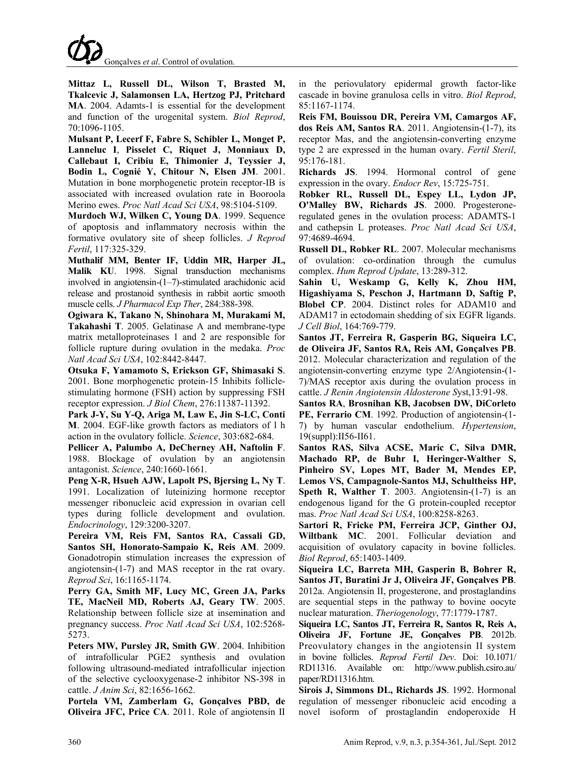

**Mittaz L, Russell DL, Wilson T, Brasted M, Tkalcevic J, Salamonsen LA, Hertzog PJ, Pritchard MA**. 2004. Adamts-1 is essential for the development and function of the urogenital system. *Biol Reprod*, 70:1096-1105.

**Mulsant P, Lecerf F, Fabre S, Schibler L, Monget P, Lanneluc I**, **Pisselet C, Riquet J, Monniaux D, Callebaut I, Cribiu E, Thimonier J, Teyssier J, Bodin L, Cognié Y, Chitour N, Elsen JM**. 2001. Mutation in bone morphogenetic protein receptor-IB is associated with increased ovulation rate in Booroola Merino ewes. *Proc Natl Acad Sci USA*, 98:5104-5109.

**Murdoch WJ, Wilken C, Young DA**. 1999. Sequence of apoptosis and inflammatory necrosis within the formative ovulatory site of sheep follicles. *J Reprod Fertil*, 117:325-329.

**Muthalif MM, Benter IF, Uddin MR, Harper JL, Malik KU**. 1998. Signal transduction mechanisms involved in angiotensin-(1–7)-stimulated arachidonic acid release and prostanoid synthesis in rabbit aortic smooth muscle cells. *J Pharmacol Exp Ther*, 284:388-398.

**Ogiwara K, Takano N, Shinohara M, Murakami M, Takahashi T**. 2005. Gelatinase A and membrane-type matrix metalloproteinases 1 and 2 are responsible for follicle rupture during ovulation in the medaka. *Proc Natl Acad Sci USA*, 102:8442-8447.

**Otsuka F, Yamamoto S, Erickson GF, Shimasaki S**. 2001. Bone morphogenetic protein-15 Inhibits folliclestimulating hormone (FSH) action by suppressing FSH receptor expression. *J Biol Chem*, 276:11387-11392.

**Park J-Y, Su Y-Q, Ariga M, Law E, Jin S-LC, Conti M**. 2004. EGF-like growth factors as mediators of l h action in the ovulatory follicle. *Science*, 303:682-684.

**Pellicer A, Palumbo A, DeCherney AH, Naftolin F**. 1988. Blockage of ovulation by an angiotensin antagonist. *Science*, 240:1660-1661.

**Peng X-R, Hsueh AJW, Lapolt PS, Bjersing L, Ny T**. 1991. Localization of luteinizing hormone receptor messenger ribonucleic acid expression in ovarian cell types during follicle development and ovulation. *Endocrinology*, 129:3200-3207.

**Pereira VM, Reis FM, Santos RA, Cassali GD, Santos SH, Honorato-Sampaio K, Reis AM**. 2009. Gonadotropin stimulation increases the expression of angiotensin-(1-7) and MAS receptor in the rat ovary. *Reprod Sci*, 16:1165-1174.

**Perry GA, Smith MF, Lucy MC, Green JA, Parks TE, MacNeil MD, Roberts AJ, Geary TW**. 2005. Relationship between follicle size at insemination and pregnancy success. *Proc Natl Acad Sci USA*, 102:5268- 5273.

**Peters MW, Pursley JR, Smith GW**. 2004. Inhibition of intrafollicular PGE2 synthesis and ovulation following ultrasound-mediated intrafollicular injection of the selective cyclooxygenase-2 inhibitor NS-398 in cattle. *J Anim Sci*, 82:1656-1662.

**Portela VM, Zamberlam G, Gonçalves PBD, de Oliveira JFC, Price CA**. 2011. Role of angiotensin II in the periovulatory epidermal growth factor-like cascade in bovine granulosa cells in vitro. *Biol Reprod*, 85:1167-1174.

**Reis FM, Bouissou DR, Pereira VM, Camargos AF, dos Reis AM, Santos RA**. 2011. Angiotensin-(1-7), its receptor Mas, and the angiotensin-converting enzyme type 2 are expressed in the human ovary. *Fertil Steril*, 95:176-181.

**Richards JS**. 1994. Hormonal control of gene expression in the ovary. *Endocr Rev*, 15:725-751.

**Robker RL, Russell DL, Espey LL, Lydon JP, O'Malley BW, Richards JS**. 2000. Progesteroneregulated genes in the ovulation process: ADAMTS-1 and cathepsin L proteases. *Proc Natl Acad Sci USA*, 97:4689-4694.

**Russell DL, Robker RL**. 2007. Molecular mechanisms of ovulation: co-ordination through the cumulus complex. *Hum Reprod Update*, 13:289-312.

**Sahin U, Weskamp G, Kelly K, Zhou HM, Higashiyama S, Peschon J, Hartmann D, Saftig P, Blobel CP**. 2004. Distinct roles for ADAM10 and ADAM17 in ectodomain shedding of six EGFR ligands. *J Cell Biol*, 164:769-779.

**Santos JT, Ferreira R, Gasperin BG, Siqueira LC, de Oliveira JF, Santos RA, Reis AM, Gonçalves PB**. 2012. Molecular characterization and regulation of the angiotensin-converting enzyme type 2/Angiotensin-(1- 7)/MAS receptor axis during the ovulation process in cattle. *J Renin Angiotensin Aldosterone S*yst,13:91-98.

**Santos RA**, **Brosnihan KB, Jacobsen DW, DiCorleto PE, Ferrario CM**. 1992. Production of angiotensin-(1- 7) by human vascular endothelium. *Hypertension*, 19(suppl):II56-II61.

**Santos RAS, Silva ACSE, Maric C, Silva DMR, Machado RP, de Buhr I, Heringer-Walther S, Pinheiro SV, Lopes MT, Bader M, Mendes EP, Lemos VS, Campagnole-Santos MJ, Schultheiss HP, Speth R, Walther T**. 2003. Angiotensin-(1-7) is an endogenous ligand for the G protein-coupled receptor mas. *Proc Natl Acad Sci USA*, 100:8258-8263.

**Sartori R, Fricke PM, Ferreira JCP, Ginther OJ, Wiltbank MC**. 2001. Follicular deviation and acquisition of ovulatory capacity in bovine follicles. *Biol Reprod*, 65:1403-1409.

**Siqueira LC, Barreta MH, Gasperin B, Bohrer R, Santos JT, Buratini Jr J, Oliveira JF, Gonçalves PB**. 2012a. Angiotensin II, progesterone, and prostaglandins are sequential steps in the pathway to bovine oocyte nuclear maturation. *Theriogenology*, 77:1779-1787.

**Siqueira LC, Santos JT, Ferreira R, Santos R, Reis A, Oliveira JF, Fortune JE, Gonçalves PB**. 2012b. Preovulatory changes in the angiotensin II system in bovine follicles. *Reprod Fertil Dev*. Doi: 10.1071/ RD11316. Available on: http://www.publish.csiro.au/ paper/RD11316.htm.

**Sirois J, Simmons DL, Richards JS**. 1992. Hormonal regulation of messenger ribonucleic acid encoding a novel isoform of prostaglandin endoperoxide H